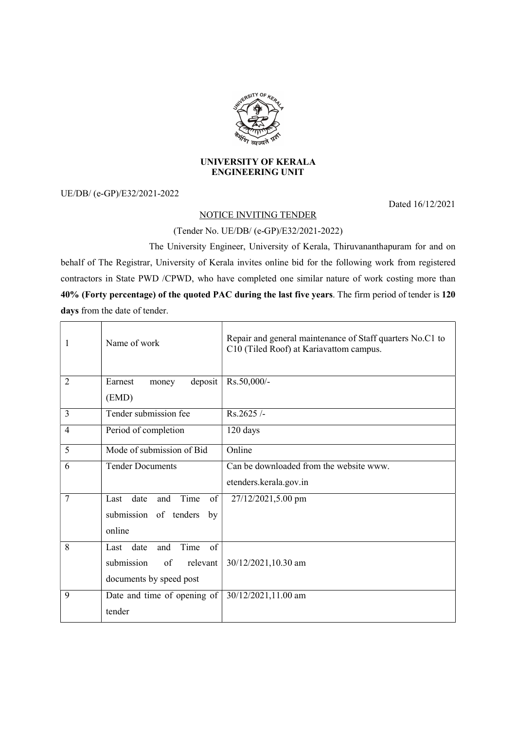

## UNIVERSITY OF KERALA ENGINEERING UNIT

UE/DB/ (e-GP)/E32/2021-2022

Dated 16/12/2021

 $\overline{\phantom{0}}$ 

## NOTICE INVITING TENDER

## (Tender No. UE/DB/ (e-GP)/E32/2021-2022)

 The University Engineer, University of Kerala, Thiruvananthapuram for and on behalf of The Registrar, University of Kerala invites online bid for the following work from registered contractors in State PWD /CPWD, who have completed one similar nature of work costing more than 40% (Forty percentage) of the quoted PAC during the last five years. The firm period of tender is 120 days from the date of tender.

| 1              | Name of work                              | Repair and general maintenance of Staff quarters No.C1 to<br>C10 (Tiled Roof) at Kariavattom campus. |
|----------------|-------------------------------------------|------------------------------------------------------------------------------------------------------|
| 2              | deposit<br>Earnest<br>money<br>(EMD)      | Rs.50,000/-                                                                                          |
| 3              | Tender submission fee                     | Rs.2625/                                                                                             |
| $\overline{4}$ | Period of completion                      | 120 days                                                                                             |
| 5              | Mode of submission of Bid                 | Online                                                                                               |
| 6              | <b>Tender Documents</b>                   | Can be downloaded from the website www.                                                              |
|                |                                           | etenders.kerala.gov.in                                                                               |
| 7              | Time<br>date<br>of<br>Last<br>and         | 27/12/2021,5.00 pm                                                                                   |
|                | submission of tenders<br>by               |                                                                                                      |
|                | online                                    |                                                                                                      |
| 8              | Time<br>Last date<br>and<br><sub>of</sub> |                                                                                                      |
|                | submission<br>of<br>relevant              | 30/12/2021,10.30 am                                                                                  |
|                | documents by speed post                   |                                                                                                      |
| 9              | Date and time of opening of               | 30/12/2021,11.00 am                                                                                  |
|                | tender                                    |                                                                                                      |